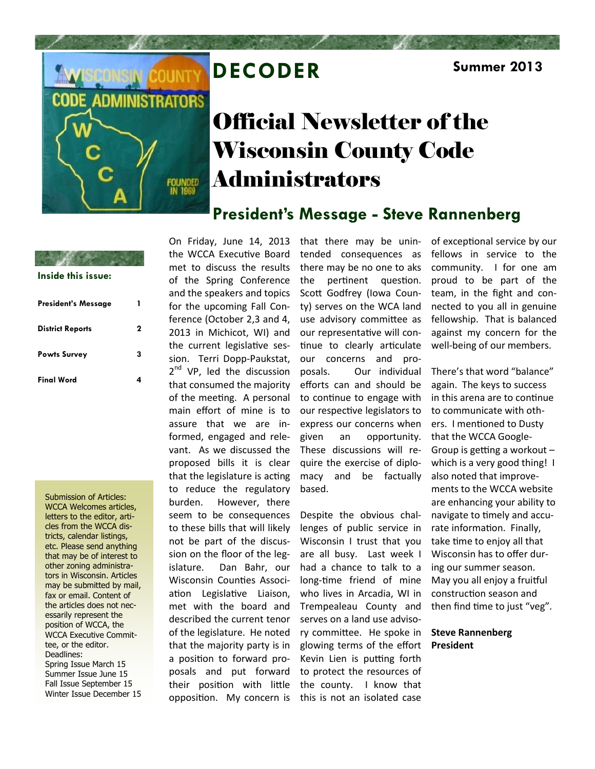

# **DECODER Summer 2013**

# Official Newsletter of the Wisconsin County Code Administrators

## **President's Message - Steve Rannenberg**

| Inside this issue:         |   |
|----------------------------|---|
| <b>President's Message</b> | 1 |
| <b>District Reports</b>    | 2 |
| <b>Powts Survey</b>        | 3 |
| <b>Final Word</b>          |   |

Submission of Articles: WCCA Welcomes articles, letters to the editor, articles from the WCCA districts, calendar listings, etc. Please send anything that may be of interest to other zoning administrators in Wisconsin. Articles may be submitted by mail, fax or email. Content of the articles does not necessarily represent the position of WCCA, the WCCA Executive Committee, or the editor. Deadlines: Spring Issue March 15 Summer Issue June 15 Fall Issue September 15 Winter Issue December 15 On Friday, June 14, 2013 the WCCA Executive Board met to discuss the results of the Spring Conference and the speakers and topics for the upcoming Fall Conference (October 2,3 and 4, 2013 in Michicot, WI) and the current legislative session. Terri Dopp-Paukstat, 2<sup>nd</sup> VP, led the discussion that consumed the majority of the meeting. A personal main effort of mine is to assure that we are informed, engaged and relevant. As we discussed the proposed bills it is clear that the legislature is acting to reduce the regulatory burden. However, there seem to be consequences to these bills that will likely not be part of the discussion on the floor of the legislature. Dan Bahr, our Wisconsin Counties Association Legislative Liaison, met with the board and described the current tenor of the legislature. He noted that the majority party is in a position to forward proposals and put forward their position with little opposition. My concern is

that there may be unintended consequences as there may be no one to aks the pertinent question. Scott Godfrey (Iowa County) serves on the WCA land use advisory committee as our representative will continue to clearly articulate our concerns and proposals. Our individual efforts can and should be to continue to engage with our respective legislators to express our concerns when given an opportunity. These discussions will require the exercise of diplomacy and be factually based.

Despite the obvious challenges of public service in Wisconsin I trust that you are all busy. Last week I had a chance to talk to a long-time friend of mine who lives in Arcadia, WI in Trempealeau County and serves on a land use advisory committee. He spoke in glowing terms of the effort Kevin Lien is putting forth to protect the resources of the county. I know that this is not an isolated case

of exceptional service by our fellows in service to the community. I for one am proud to be part of the team, in the fight and connected to you all in genuine fellowship. That is balanced against my concern for the well-being of our members.

There's that word "balance" again. The keys to success in this arena are to continue to communicate with others. I mentioned to Dusty that the WCCA Google-Group is getting a workout – which is a very good thing! I also noted that improvements to the WCCA website are enhancing your ability to navigate to timely and accurate information. Finally, take time to enjoy all that Wisconsin has to offer during our summer season. May you all enjoy a fruitful construction season and then find time to just "veg".

### **Steve Rannenberg President**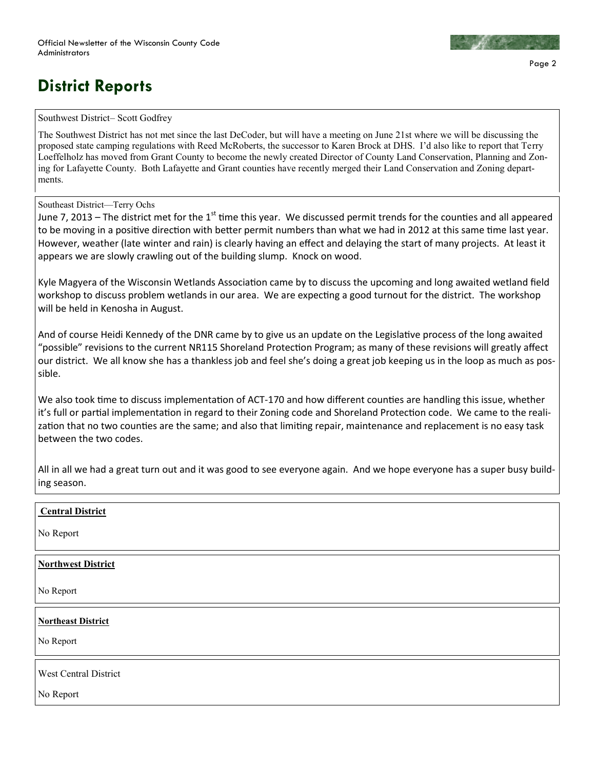

# **District Reports**

#### Southwest District– Scott Godfrey

The Southwest District has not met since the last DeCoder, but will have a meeting on June 21st where we will be discussing the proposed state camping regulations with Reed McRoberts, the successor to Karen Brock at DHS. I'd also like to report that Terry Loeffelholz has moved from Grant County to become the newly created Director of County Land Conservation, Planning and Zoning for Lafayette County. Both Lafayette and Grant counties have recently merged their Land Conservation and Zoning departments.

#### Southeast District—Terry Ochs

June 7, 2013 – The district met for the 1<sup>st</sup> time this year. We discussed permit trends for the counties and all appeared to be moving in a positive direction with better permit numbers than what we had in 2012 at this same time last year. However, weather (late winter and rain) is clearly having an effect and delaying the start of many projects. At least it appears we are slowly crawling out of the building slump. Knock on wood.

Kyle Magyera of the Wisconsin Wetlands Association came by to discuss the upcoming and long awaited wetland field workshop to discuss problem wetlands in our area. We are expecting a good turnout for the district. The workshop will be held in Kenosha in August.

And of course Heidi Kennedy of the DNR came by to give us an update on the Legislative process of the long awaited "possible" revisions to the current NR115 Shoreland Protection Program; as many of these revisions will greatly affect our district. We all know she has a thankless job and feel she's doing a great job keeping us in the loop as much as possible.

We also took time to discuss implementation of ACT-170 and how different counties are handling this issue, whether it's full or partial implementation in regard to their Zoning code and Shoreland Protection code. We came to the realization that no two counties are the same; and also that limiting repair, maintenance and replacement is no easy task between the two codes.

All in all we had a great turn out and it was good to see everyone again. And we hope everyone has a super busy building season.

### **Central District**

No Report

### **Northwest District**

No Report

#### **Northeast District**

No Report

West Central District

No Report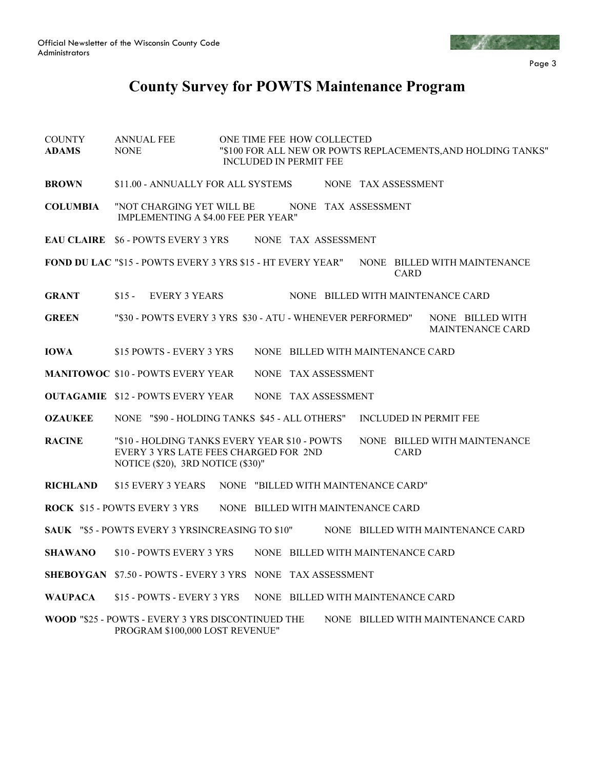

Page 3

## **County Survey for POWTS Maintenance Program**

- COUNTY ANNUAL FEE ONE TIME FEE HOW COLLECTED **ADAMS** NONE "\$100 FOR ALL NEW OR POWTS REPLACEMENTS,AND HOLDING TANKS" INCLUDED IN PERMIT FEE **BROWN** \$11.00 - ANNUALLY FOR ALL SYSTEMS NONE TAX ASSESSMENT **COLUMBIA** "NOT CHARGING YET WILL BE NONE TAX ASSESSMENT IMPLEMENTING A \$4.00 FEE PER YEAR" EAU CLAIRE \$6 - POWTS EVERY 3 YRS NONE TAX ASSESSMENT **FOND DU LAC** "\$15 - POWTS EVERY 3 YRS \$15 - HT EVERY YEAR" NONE BILLED WITH MAINTENANCE CARD **GRANT** \$15 - EVERY 3 YEARS NONE BILLED WITH MAINTENANCE CARD **GREEN** "\$30 - POWTS EVERY 3 YRS \$30 - ATU - WHENEVER PERFORMED" NONE BILLED WITH MAINTENANCE CARD **IOWA** \$15 POWTS - EVERY 3 YRS NONE BILLED WITH MAINTENANCE CARD **MANITOWOC** \$10 - POWTS EVERY YEAR NONE TAX ASSESSMENT **OUTAGAMIE** \$12 - POWTS EVERY YEAR NONE TAX ASSESSMENT **OZAUKEE** NONE "\$90 - HOLDING TANKS \$45 - ALL OTHERS" INCLUDED IN PERMIT FEE **RACINE** "\$10 - HOLDING TANKS EVERY YEAR \$10 - POWTS NONE BILLED WITH MAINTENANCE EVERY 3 YRS LATE FEES CHARGED FOR 2ND CARD NOTICE (\$20), 3RD NOTICE (\$30)" **RICHLAND** \$15 EVERY 3 YEARS NONE "BILLED WITH MAINTENANCE CARD" **ROCK** \$15 - POWTS EVERY 3 YRS NONE BILLED WITH MAINTENANCE CARD **SAUK** "\$5 - POWTS EVERY 3 YRSINCREASING TO \$10" NONE BILLED WITH MAINTENANCE CARD **SHAWANO** \$10 - POWTS EVERY 3 YRS NONE BILLED WITH MAINTENANCE CARD **SHEBOYGAN** \$7.50 - POWTS - EVERY 3 YRS NONE TAX ASSESSMENT **WAUPACA** \$15 - POWTS - EVERY 3 YRS NONE BILLED WITH MAINTENANCE CARD
- **WOOD** "\$25 POWTS EVERY 3 YRS DISCONTINUED THE NONE BILLED WITH MAINTENANCE CARD PROGRAM \$100,000 LOST REVENUE"